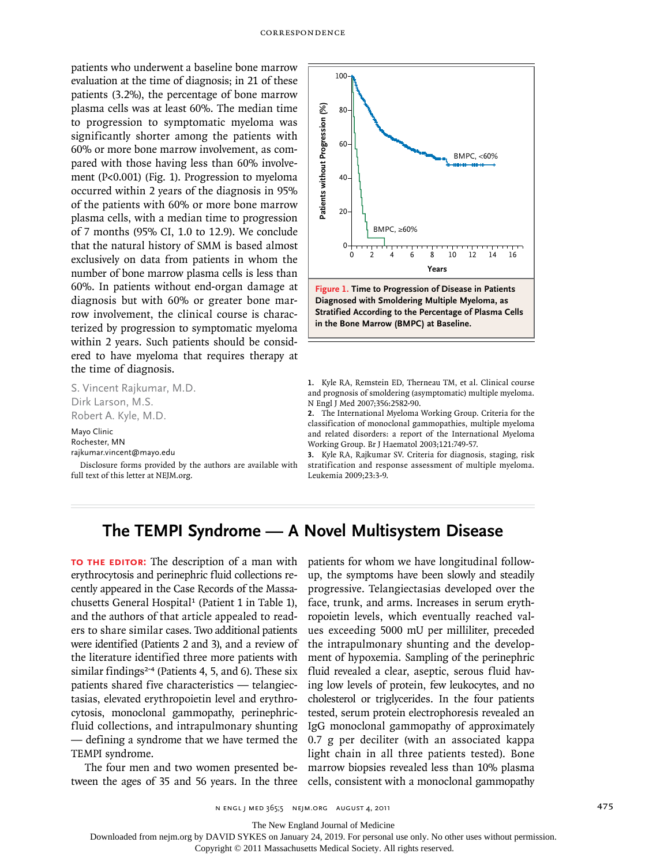patients who underwent a baseline bone marrow evaluation at the time of diagnosis; in 21 of these patients (3.2%), the percentage of bone marrow plasma cells was at least 60%. The median time to progression to symptomatic myeloma was significantly shorter among the patients with 60% or more bone marrow involvement, as compared with those having less than 60% involvement (P<0.001) (Fig. 1). Progression to myeloma occurred within 2 years of the diagnosis in 95% of the patients with 60% or more bone marrow plasma cells, with a median time to progression of 7 months (95% CI, 1.0 to 12.9). We conclude that the natural history of SMM is based almost exclusively on data from patients in whom the number of bone marrow plasma cells is less than 60%. In patients without end-organ damage at diagnosis but with 60% or greater bone marrow involvement, the clinical course is characterized by progression to symptomatic myeloma within 2 years. Such patients should be considered to have myeloma that requires therapy at the time of diagnosis.

S. Vincent Rajkumar, M.D. Dirk Larson, M.S. Robert A. Kyle, M.D.

Mayo Clinic Rochester, MN rajkumar.vincent@mayo.edu

Disclosure forms provided by the authors are available with full text of this letter at NEJM.org.



**Diagnosed with Smoldering Multiple Myeloma, as Stratified According to the Percentage of Plasma Cells in the Bone Marrow (BMPC) at Baseline.**

**1.** Kyle RA, Remstein ED, Therneau TM, et al. Clinical course and prognosis of smoldering (asymptomatic) multiple myeloma. N Engl J Med 2007;356:2582-90.

**2.** The International Myeloma Working Group. Criteria for the classification of monoclonal gammopathies, multiple myeloma and related disorders: a report of the International Myeloma Working Group. Br J Haematol 2003;121:749-57.

**3.** Kyle RA, Rajkumar SV. Criteria for diagnosis, staging, risk stratification and response assessment of multiple myeloma. Leukemia 2009;23:3-9.

# **The TEMPI Syndrome — A Novel Multisystem Disease**

**To the Editor:** The description of a man with erythrocytosis and perinephric fluid collections recently appeared in the Case Records of the Massachusetts General Hospital<sup>1</sup> (Patient 1 in Table 1), and the authors of that article appealed to readers to share similar cases. Two additional patients were identified (Patients 2 and 3), and a review of the literature identified three more patients with similar findings<sup>2-4</sup> (Patients 4, 5, and 6). These six patients shared five characteristics — telangiectasias, elevated erythropoietin level and erythrocytosis, monoclonal gammopathy, perinephricfluid collections, and intrapulmonary shunting — defining a syndrome that we have termed the TEMPI syndrome.

The four men and two women presented between the ages of 35 and 56 years. In the three cells, consistent with a monoclonal gammopathy

patients for whom we have longitudinal followup, the symptoms have been slowly and steadily progressive. Telangiectasias developed over the face, trunk, and arms. Increases in serum erythropoietin levels, which eventually reached values exceeding 5000 mU per milliliter, preceded the intrapulmonary shunting and the development of hypoxemia. Sampling of the perinephric fluid revealed a clear, aseptic, serous fluid having low levels of protein, few leukocytes, and no cholesterol or triglycerides. In the four patients tested, serum protein electrophoresis revealed an IgG monoclonal gammopathy of approximately 0.7 g per deciliter (with an associated kappa light chain in all three patients tested). Bone marrow biopsies revealed less than 10% plasma Example the state of the method of the state of the state of the state of the state of the state of the state of the state of the state of the state of the patient of the state of the patient of the patient of the patient

n engl j med 365;5 nejm.org august 4, 2011 475

The New England Journal of Medicine

Downloaded from nejm.org by DAVID SYKES on January 24, 2019. For personal use only. No other uses without permission.

Copyright © 2011 Massachusetts Medical Society. All rights reserved.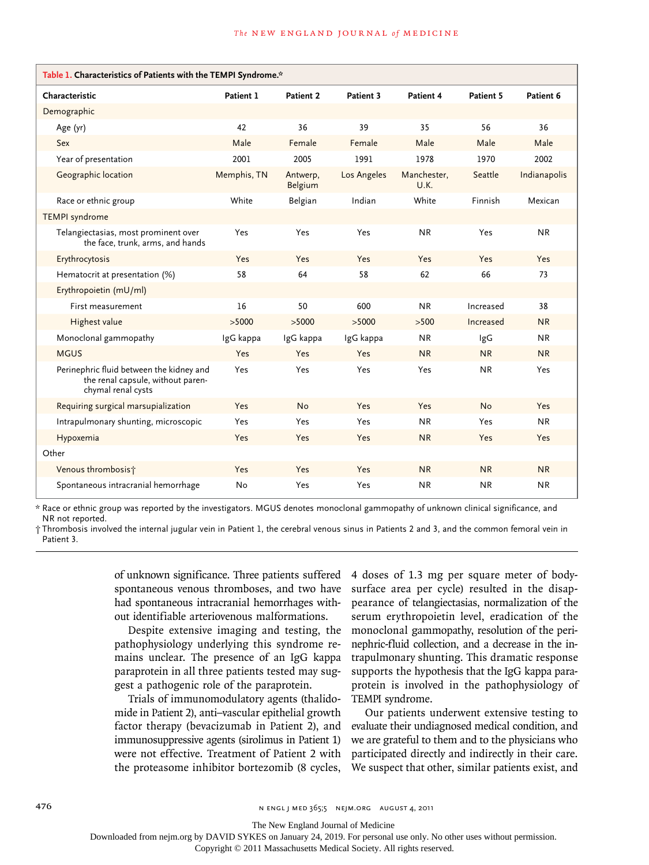| Table 1. Characteristics of Patients with the TEMPI Syndrome.*                                      |             |                     |             |                     |           |              |
|-----------------------------------------------------------------------------------------------------|-------------|---------------------|-------------|---------------------|-----------|--------------|
| Characteristic                                                                                      | Patient 1   | Patient 2           | Patient 3   | Patient 4           | Patient 5 | Patient 6    |
| Demographic                                                                                         |             |                     |             |                     |           |              |
| Age (yr)                                                                                            | 42          | 36                  | 39          | 35                  | 56        | 36           |
| Sex                                                                                                 | Male        | Female              | Female      | Male                | Male      | Male         |
| Year of presentation                                                                                | 2001        | 2005                | 1991        | 1978                | 1970      | 2002         |
| Geographic location                                                                                 | Memphis, TN | Antwerp,<br>Belgium | Los Angeles | Manchester,<br>U.K. | Seattle   | Indianapolis |
| Race or ethnic group                                                                                | White       | Belgian             | Indian      | White               | Finnish   | Mexican      |
| <b>TEMPI</b> syndrome                                                                               |             |                     |             |                     |           |              |
| Telangiectasias, most prominent over<br>the face, trunk, arms, and hands                            | Yes         | Yes                 | Yes         | <b>NR</b>           | Yes       | <b>NR</b>    |
| Erythrocytosis                                                                                      | Yes         | <b>Yes</b>          | Yes         | Yes                 | Yes       | Yes          |
| Hematocrit at presentation (%)                                                                      | 58          | 64                  | 58          | 62                  | 66        | 73           |
| Erythropoietin (mU/ml)                                                                              |             |                     |             |                     |           |              |
| First measurement                                                                                   | 16          | 50                  | 600         | <b>NR</b>           | Increased | 38           |
| Highest value                                                                                       | >5000       | >5000               | >5000       | >500                | Increased | <b>NR</b>    |
| Monoclonal gammopathy                                                                               | IgG kappa   | IgG kappa           | IgG kappa   | <b>NR</b>           | lgG       | <b>NR</b>    |
| <b>MGUS</b>                                                                                         | Yes         | <b>Yes</b>          | <b>Yes</b>  | <b>NR</b>           | <b>NR</b> | <b>NR</b>    |
| Perinephric fluid between the kidney and<br>the renal capsule, without paren-<br>chymal renal cysts | Yes         | Yes                 | Yes         | Yes                 | <b>NR</b> | Yes          |
| Requiring surgical marsupialization                                                                 | Yes         | <b>No</b>           | Yes         | Yes                 | <b>No</b> | Yes          |
| Intrapulmonary shunting, microscopic                                                                | Yes         | Yes                 | Yes         | <b>NR</b>           | Yes       | <b>NR</b>    |
| Hypoxemia                                                                                           | Yes         | <b>Yes</b>          | <b>Yes</b>  | <b>NR</b>           | Yes       | Yes          |
| Other                                                                                               |             |                     |             |                     |           |              |
| Venous thrombosist                                                                                  | Yes         | Yes                 | <b>Yes</b>  | <b>NR</b>           | <b>NR</b> | <b>NR</b>    |
| Spontaneous intracranial hemorrhage                                                                 | No          | Yes                 | Yes         | <b>NR</b>           | <b>NR</b> | <b>NR</b>    |

\* Race or ethnic group was reported by the investigators. MGUS denotes monoclonal gammopathy of unknown clinical significance, and NR not reported.

† Thrombosis involved the internal jugular vein in Patient 1, the cerebral venous sinus in Patients 2 and 3, and the common femoral vein in Patient 3.

> of unknown significance. Three patients suffered spontaneous venous thromboses, and two have had spontaneous intracranial hemorrhages without identifiable arteriovenous malformations.

> Despite extensive imaging and testing, the pathophysiology underlying this syndrome remains unclear. The presence of an IgG kappa paraprotein in all three patients tested may suggest a pathogenic role of the paraprotein.

> Trials of immunomodulatory agents (thalidomide in Patient 2), anti–vascular epithelial growth factor therapy (bevacizumab in Patient 2), and immunosuppressive agents (sirolimus in Patient 1) were not effective. Treatment of Patient 2 with the proteasome inhibitor bortezomib (8 cycles,

4 doses of 1.3 mg per square meter of bodysurface area per cycle) resulted in the disappearance of telangiectasias, normalization of the serum erythropoietin level, eradication of the monoclonal gammopathy, resolution of the perinephric-fluid collection, and a decrease in the intrapulmonary shunting. This dramatic response supports the hypothesis that the IgG kappa paraprotein is involved in the pathophysiology of TEMPI syndrome.

Our patients underwent extensive testing to evaluate their undiagnosed medical condition, and we are grateful to them and to the physicians who participated directly and indirectly in their care. We suspect that other, similar patients exist, and

476 n engl j med 365;5 nejm.org august 4, 2011

The New England Journal of Medicine

Downloaded from nejm.org by DAVID SYKES on January 24, 2019. For personal use only. No other uses without permission.

Copyright © 2011 Massachusetts Medical Society. All rights reserved.